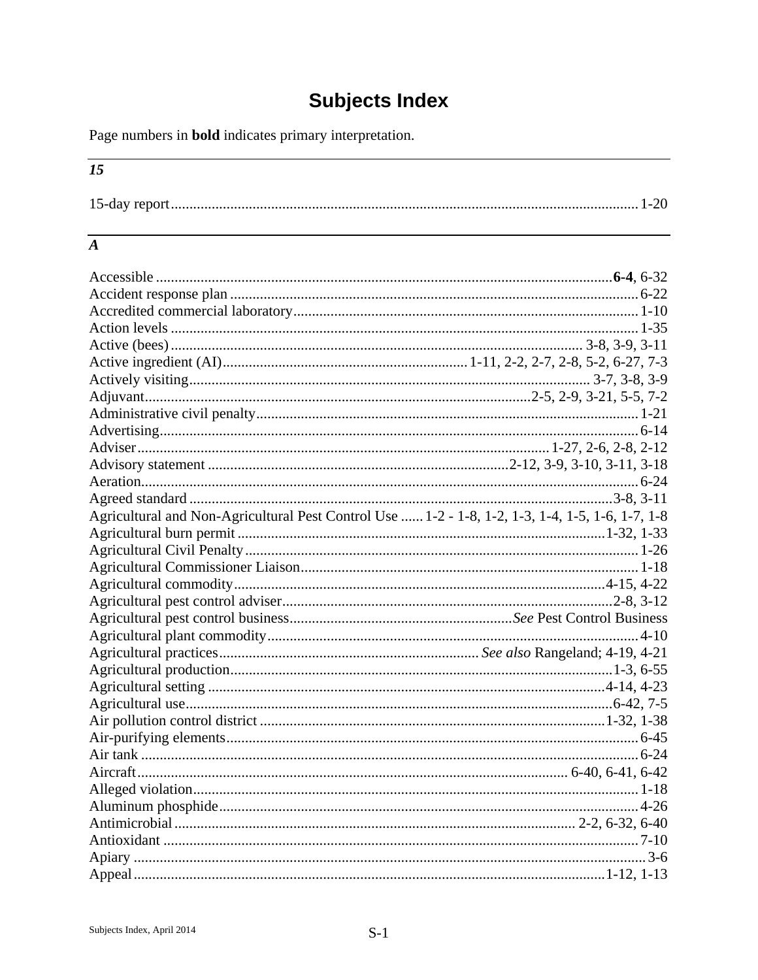# **Subjects Index**

Page numbers in **bold** indicates primary interpretation.

# $\overline{15}$

|--|

#### $\overline{A}$

| Agricultural and Non-Agricultural Pest Control Use  1-2 - 1-8, 1-2, 1-3, 1-4, 1-5, 1-6, 1-7, 1-8 |  |
|--------------------------------------------------------------------------------------------------|--|
|                                                                                                  |  |
|                                                                                                  |  |
|                                                                                                  |  |
|                                                                                                  |  |
|                                                                                                  |  |
|                                                                                                  |  |
|                                                                                                  |  |
|                                                                                                  |  |
|                                                                                                  |  |
|                                                                                                  |  |
|                                                                                                  |  |
|                                                                                                  |  |
|                                                                                                  |  |
|                                                                                                  |  |
|                                                                                                  |  |
|                                                                                                  |  |
|                                                                                                  |  |
|                                                                                                  |  |
|                                                                                                  |  |
|                                                                                                  |  |
|                                                                                                  |  |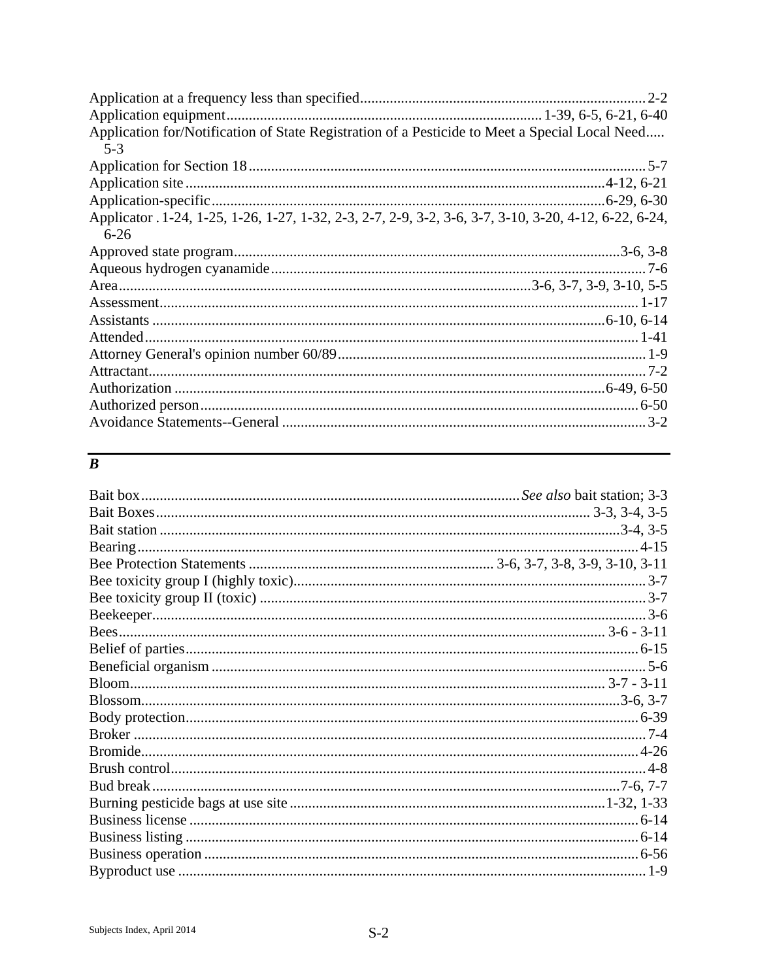| Application for/Notification of State Registration of a Pesticide to Meet a Special Local Need<br>$5-3$ |  |
|---------------------------------------------------------------------------------------------------------|--|
|                                                                                                         |  |
|                                                                                                         |  |
|                                                                                                         |  |
|                                                                                                         |  |
|                                                                                                         |  |
|                                                                                                         |  |
| Applicator . 1-24, 1-25, 1-26, 1-27, 1-32, 2-3, 2-7, 2-9, 3-2, 3-6, 3-7, 3-10, 3-20, 4-12, 6-22, 6-24,  |  |
| $6 - 26$                                                                                                |  |
|                                                                                                         |  |
|                                                                                                         |  |
|                                                                                                         |  |
|                                                                                                         |  |
|                                                                                                         |  |
|                                                                                                         |  |
|                                                                                                         |  |
|                                                                                                         |  |
|                                                                                                         |  |
|                                                                                                         |  |
|                                                                                                         |  |

#### $\overline{B}$

| Bud break. |  |
|------------|--|
|            |  |
|            |  |
|            |  |
|            |  |
|            |  |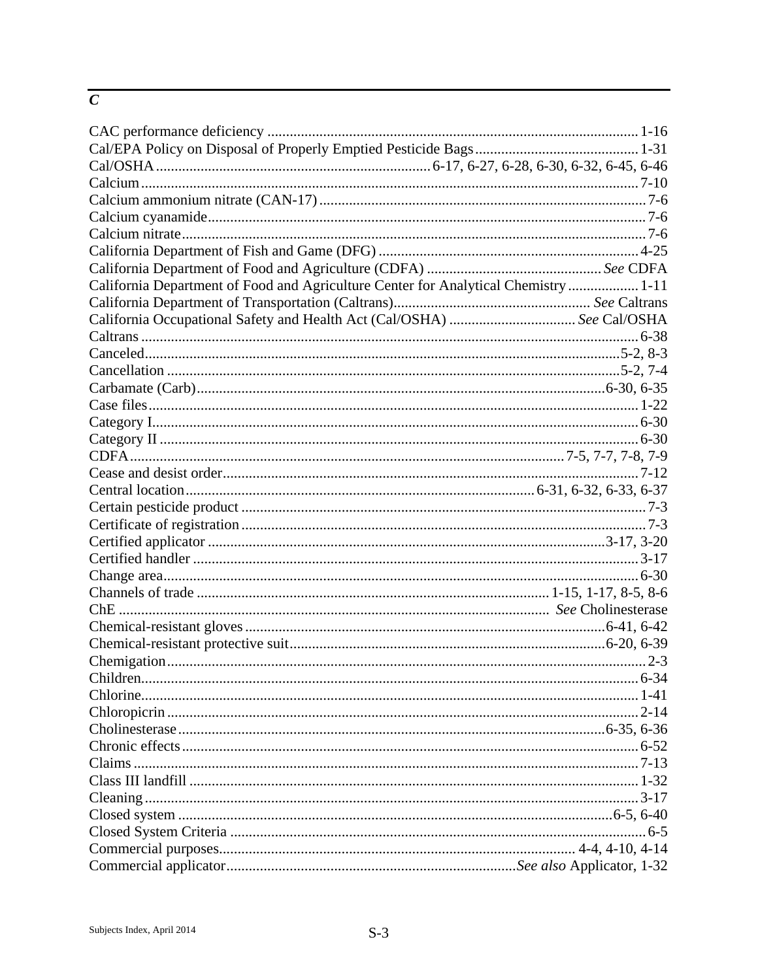#### $\overline{C}$

| California Department of Food and Agriculture Center for Analytical Chemistry  1-11 |  |
|-------------------------------------------------------------------------------------|--|
|                                                                                     |  |
| California Occupational Safety and Health Act (Cal/OSHA)  See Cal/OSHA              |  |
|                                                                                     |  |
|                                                                                     |  |
|                                                                                     |  |
|                                                                                     |  |
|                                                                                     |  |
|                                                                                     |  |
|                                                                                     |  |
|                                                                                     |  |
|                                                                                     |  |
|                                                                                     |  |
|                                                                                     |  |
|                                                                                     |  |
|                                                                                     |  |
|                                                                                     |  |
|                                                                                     |  |
|                                                                                     |  |
|                                                                                     |  |
|                                                                                     |  |
|                                                                                     |  |
|                                                                                     |  |
|                                                                                     |  |
|                                                                                     |  |
|                                                                                     |  |
|                                                                                     |  |
|                                                                                     |  |
|                                                                                     |  |
|                                                                                     |  |
|                                                                                     |  |
|                                                                                     |  |
|                                                                                     |  |
|                                                                                     |  |
|                                                                                     |  |
|                                                                                     |  |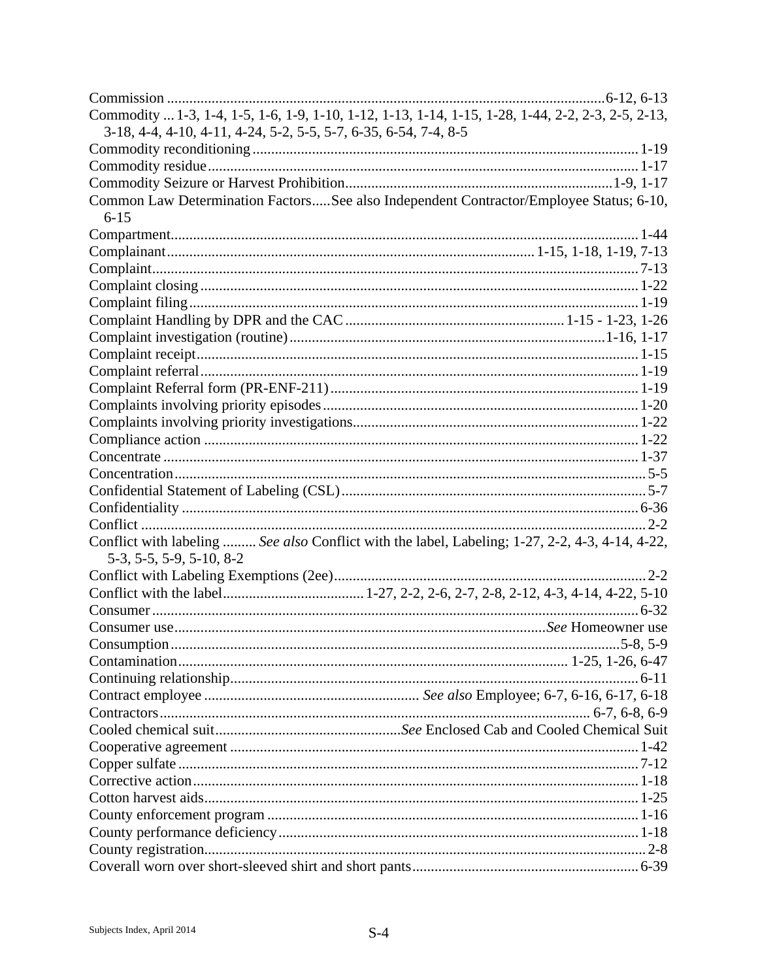| Commodity  1-3, 1-4, 1-5, 1-6, 1-9, 1-10, 1-12, 1-13, 1-14, 1-15, 1-28, 1-44, 2-2, 2-3, 2-5, 2-13, |  |
|----------------------------------------------------------------------------------------------------|--|
| 3-18, 4-4, 4-10, 4-11, 4-24, 5-2, 5-5, 5-7, 6-35, 6-54, 7-4, 8-5                                   |  |
|                                                                                                    |  |
|                                                                                                    |  |
|                                                                                                    |  |
| Common Law Determination FactorsSee also Independent Contractor/Employee Status; 6-10,             |  |
| $6 - 15$                                                                                           |  |
|                                                                                                    |  |
|                                                                                                    |  |
|                                                                                                    |  |
|                                                                                                    |  |
|                                                                                                    |  |
|                                                                                                    |  |
|                                                                                                    |  |
|                                                                                                    |  |
|                                                                                                    |  |
|                                                                                                    |  |
|                                                                                                    |  |
|                                                                                                    |  |
|                                                                                                    |  |
|                                                                                                    |  |
|                                                                                                    |  |
|                                                                                                    |  |
|                                                                                                    |  |
|                                                                                                    |  |
| Conflict with labeling  See also Conflict with the label, Labeling; 1-27, 2-2, 4-3, 4-14, 4-22,    |  |
| 5-3, 5-5, 5-9, 5-10, 8-2                                                                           |  |
|                                                                                                    |  |
|                                                                                                    |  |
|                                                                                                    |  |
|                                                                                                    |  |
|                                                                                                    |  |
|                                                                                                    |  |
|                                                                                                    |  |
|                                                                                                    |  |
|                                                                                                    |  |
|                                                                                                    |  |
|                                                                                                    |  |
|                                                                                                    |  |
|                                                                                                    |  |
|                                                                                                    |  |
|                                                                                                    |  |
|                                                                                                    |  |
|                                                                                                    |  |
|                                                                                                    |  |
|                                                                                                    |  |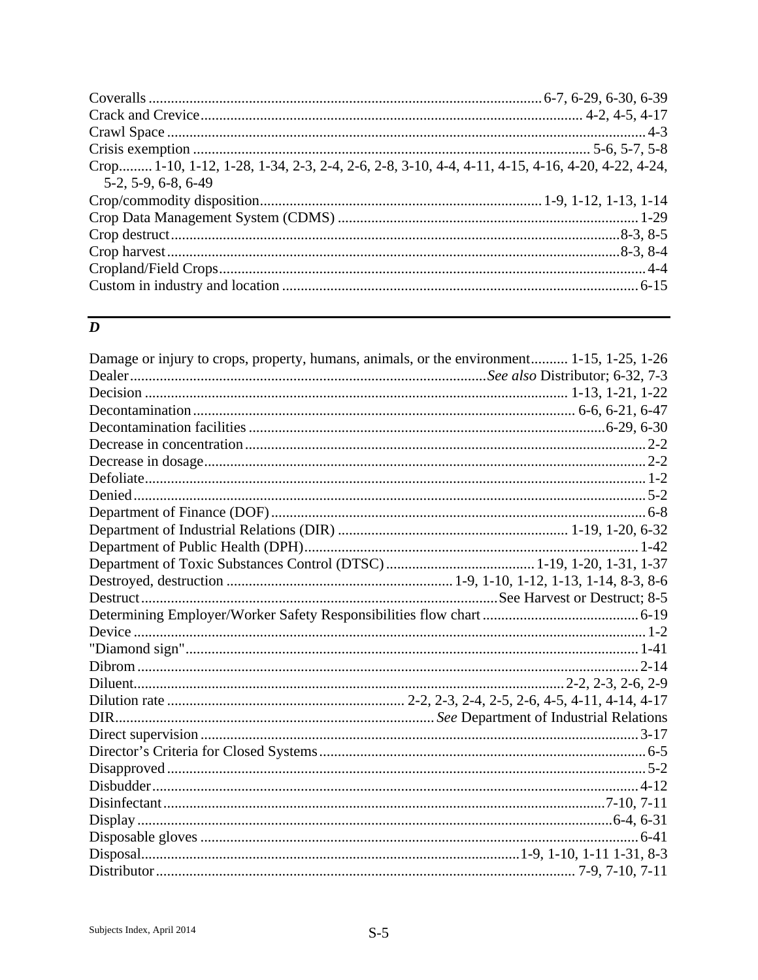| Crop 1-10, 1-12, 1-28, 1-34, 2-3, 2-4, 2-6, 2-8, 3-10, 4-4, 4-11, 4-15, 4-16, 4-20, 4-22, 4-24,<br>5-2, 5-9, 6-8, 6-49 |  |
|------------------------------------------------------------------------------------------------------------------------|--|
|                                                                                                                        |  |
|                                                                                                                        |  |
|                                                                                                                        |  |
|                                                                                                                        |  |
|                                                                                                                        |  |
|                                                                                                                        |  |

## $\overline{D}$

| Damage or injury to crops, property, humans, animals, or the environment 1-15, 1-25, 1-26 |  |
|-------------------------------------------------------------------------------------------|--|
|                                                                                           |  |
|                                                                                           |  |
|                                                                                           |  |
|                                                                                           |  |
|                                                                                           |  |
|                                                                                           |  |
|                                                                                           |  |
|                                                                                           |  |
|                                                                                           |  |
|                                                                                           |  |
|                                                                                           |  |
|                                                                                           |  |
|                                                                                           |  |
|                                                                                           |  |
|                                                                                           |  |
|                                                                                           |  |
|                                                                                           |  |
|                                                                                           |  |
|                                                                                           |  |
|                                                                                           |  |
|                                                                                           |  |
|                                                                                           |  |
|                                                                                           |  |
|                                                                                           |  |
|                                                                                           |  |
|                                                                                           |  |
|                                                                                           |  |
|                                                                                           |  |
|                                                                                           |  |
|                                                                                           |  |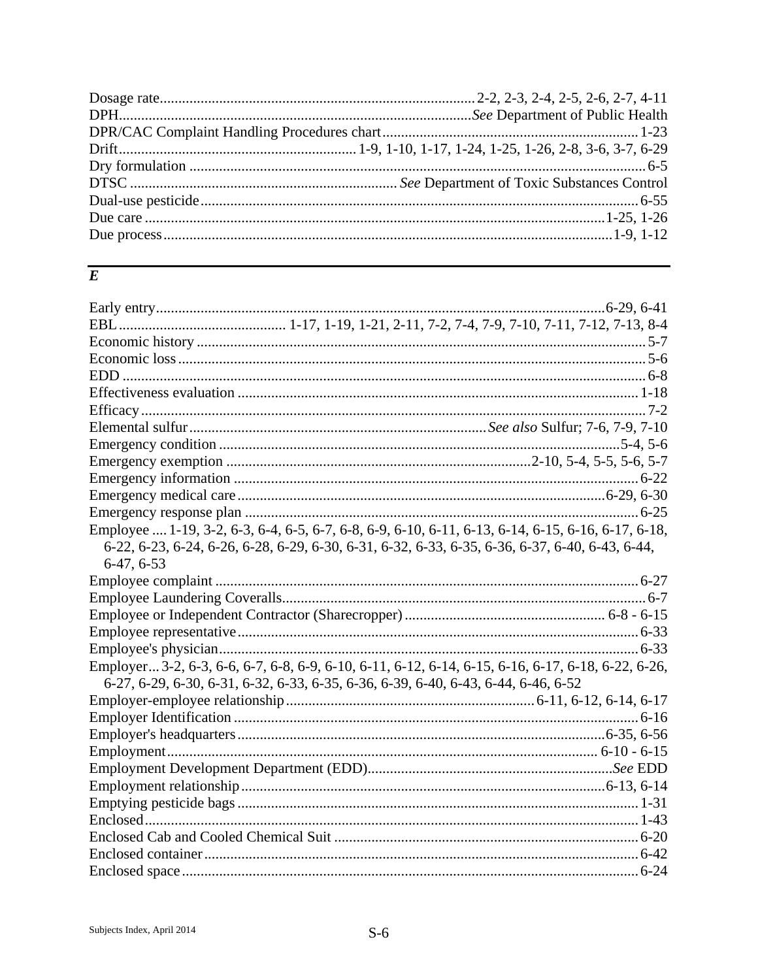#### $\overline{E}$

| Employee  1-19, 3-2, 6-3, 6-4, 6-5, 6-7, 6-8, 6-9, 6-10, 6-11, 6-13, 6-14, 6-15, 6-16, 6-17, 6-18, |  |
|----------------------------------------------------------------------------------------------------|--|
| 6-22, 6-23, 6-24, 6-26, 6-28, 6-29, 6-30, 6-31, 6-32, 6-33, 6-35, 6-36, 6-37, 6-40, 6-43, 6-44,    |  |
| $6-47, 6-53$                                                                                       |  |
|                                                                                                    |  |
|                                                                                                    |  |
|                                                                                                    |  |
|                                                                                                    |  |
|                                                                                                    |  |
| Employer 3-2, 6-3, 6-6, 6-7, 6-8, 6-9, 6-10, 6-11, 6-12, 6-14, 6-15, 6-16, 6-17, 6-18, 6-22, 6-26, |  |
| 6-27, 6-29, 6-30, 6-31, 6-32, 6-33, 6-35, 6-36, 6-39, 6-40, 6-43, 6-44, 6-46, 6-52                 |  |
|                                                                                                    |  |
|                                                                                                    |  |
|                                                                                                    |  |
|                                                                                                    |  |
|                                                                                                    |  |
|                                                                                                    |  |
|                                                                                                    |  |
|                                                                                                    |  |
|                                                                                                    |  |
|                                                                                                    |  |
|                                                                                                    |  |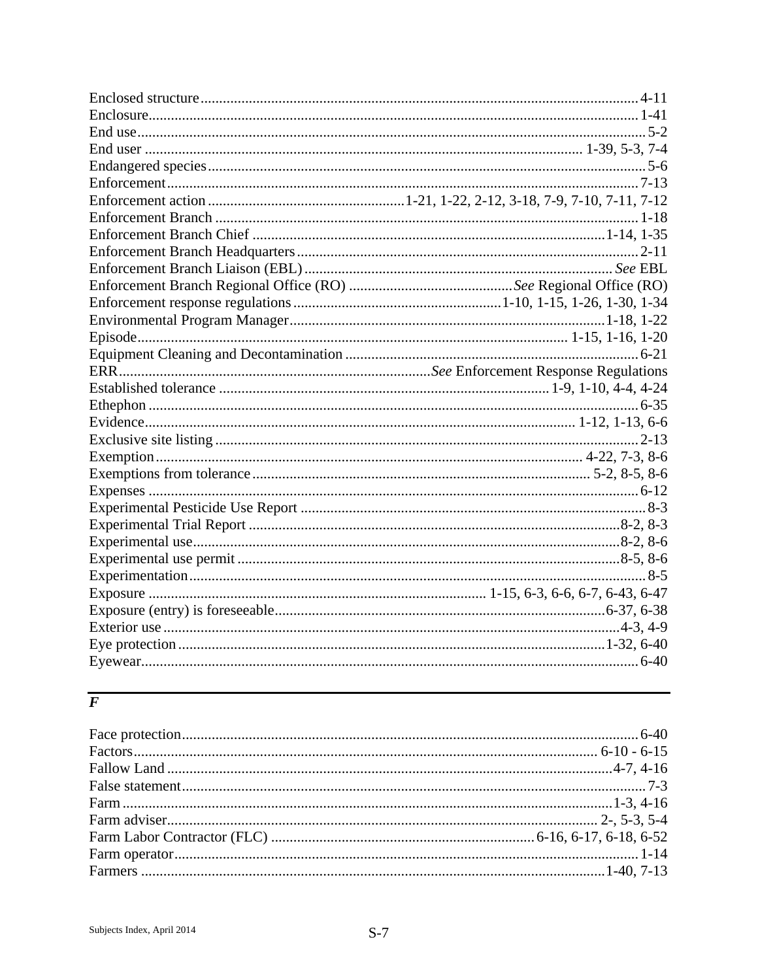# $\overline{F}$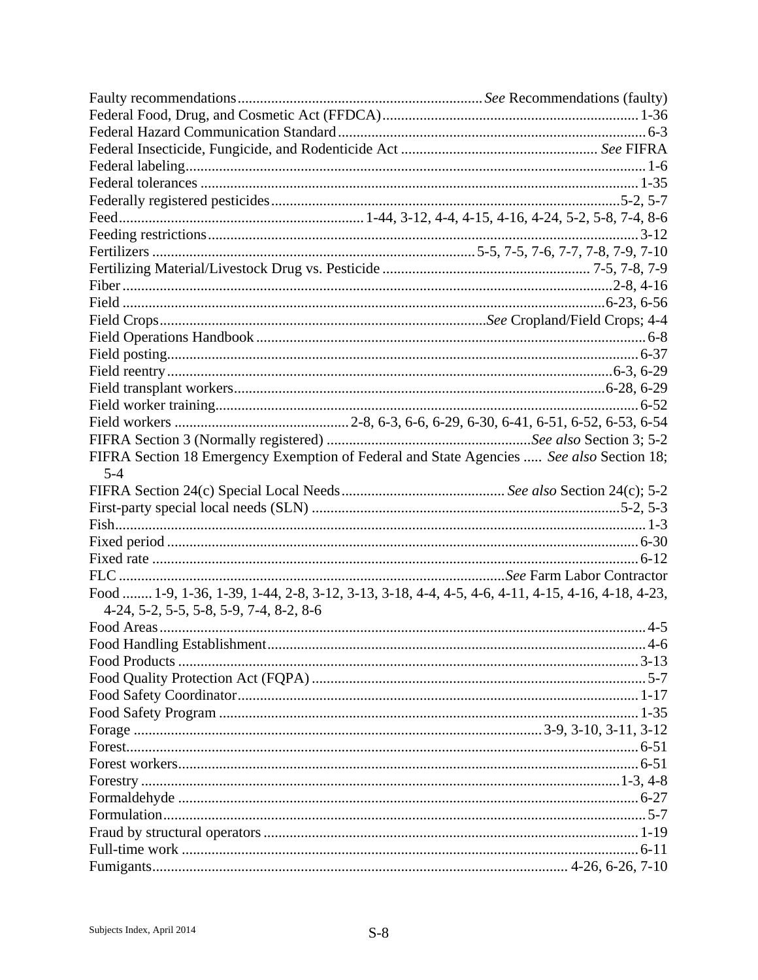| FIFRA Section 18 Emergency Exemption of Federal and State Agencies  See also Section 18;         |  |
|--------------------------------------------------------------------------------------------------|--|
| $5 - 4$                                                                                          |  |
|                                                                                                  |  |
|                                                                                                  |  |
|                                                                                                  |  |
|                                                                                                  |  |
|                                                                                                  |  |
|                                                                                                  |  |
|                                                                                                  |  |
|                                                                                                  |  |
| Food  1-9, 1-36, 1-39, 1-44, 2-8, 3-12, 3-13, 3-18, 4-4, 4-5, 4-6, 4-11, 4-15, 4-16, 4-18, 4-23, |  |
| 4-24, 5-2, 5-5, 5-8, 5-9, 7-4, 8-2, 8-6                                                          |  |
|                                                                                                  |  |
|                                                                                                  |  |
|                                                                                                  |  |
|                                                                                                  |  |
|                                                                                                  |  |
|                                                                                                  |  |
|                                                                                                  |  |
|                                                                                                  |  |
|                                                                                                  |  |
|                                                                                                  |  |
|                                                                                                  |  |
|                                                                                                  |  |
|                                                                                                  |  |
|                                                                                                  |  |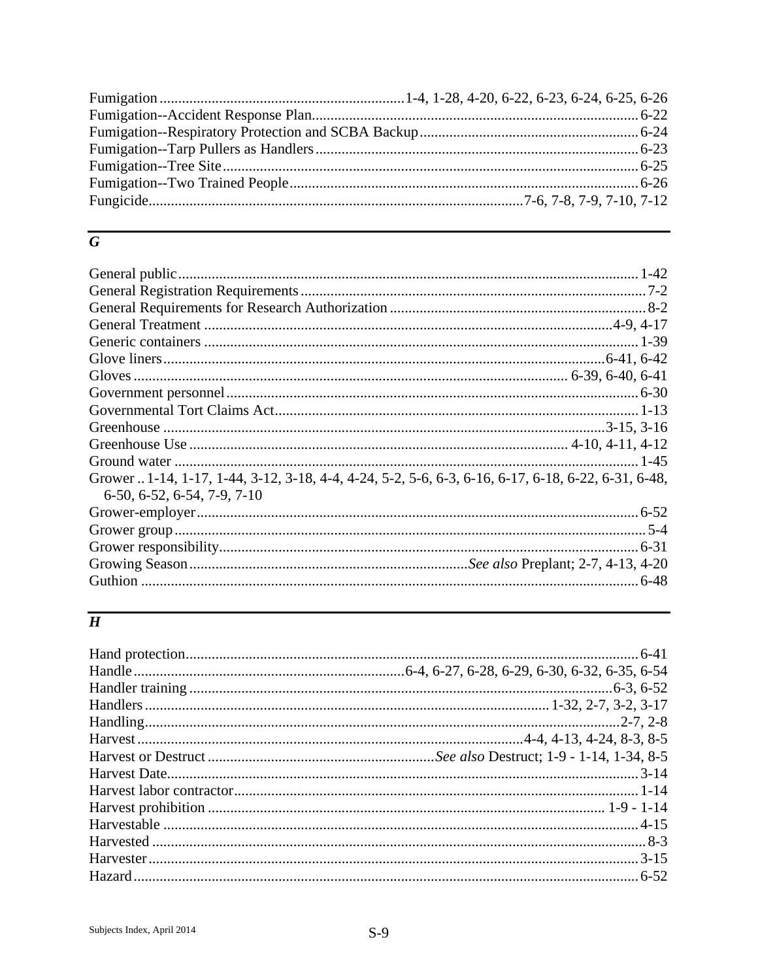## $\overline{G}$

| Grower  1-14, 1-17, 1-44, 3-12, 3-18, 4-4, 4-24, 5-2, 5-6, 6-3, 6-16, 6-17, 6-18, 6-22, 6-31, 6-48, |      |
|-----------------------------------------------------------------------------------------------------|------|
| $6-50, 6-52, 6-54, 7-9, 7-10$                                                                       |      |
|                                                                                                     |      |
|                                                                                                     |      |
|                                                                                                     |      |
|                                                                                                     |      |
|                                                                                                     | 6-48 |
|                                                                                                     |      |

# $\overline{H}$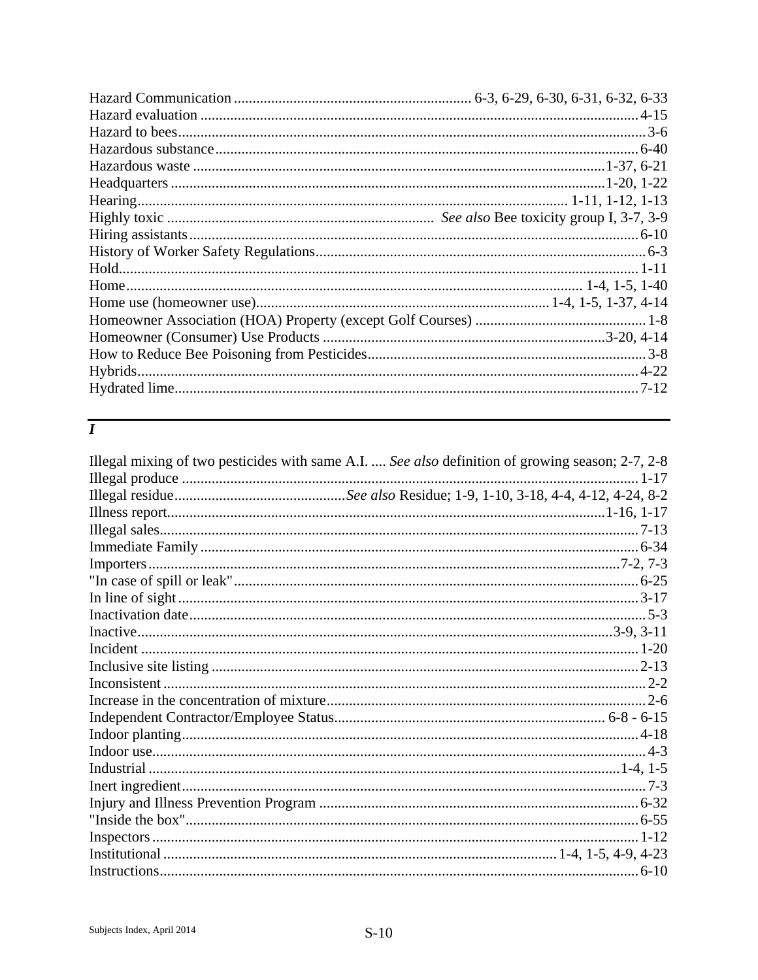# $\overline{I}$

| Illegal mixing of two pesticides with same A.I.  See also definition of growing season; 2-7, 2-8 |  |
|--------------------------------------------------------------------------------------------------|--|
|                                                                                                  |  |
|                                                                                                  |  |
|                                                                                                  |  |
|                                                                                                  |  |
|                                                                                                  |  |
|                                                                                                  |  |
|                                                                                                  |  |
|                                                                                                  |  |
|                                                                                                  |  |
|                                                                                                  |  |
|                                                                                                  |  |
|                                                                                                  |  |
|                                                                                                  |  |
|                                                                                                  |  |
|                                                                                                  |  |
|                                                                                                  |  |
|                                                                                                  |  |
|                                                                                                  |  |
|                                                                                                  |  |
|                                                                                                  |  |
|                                                                                                  |  |
|                                                                                                  |  |
|                                                                                                  |  |
|                                                                                                  |  |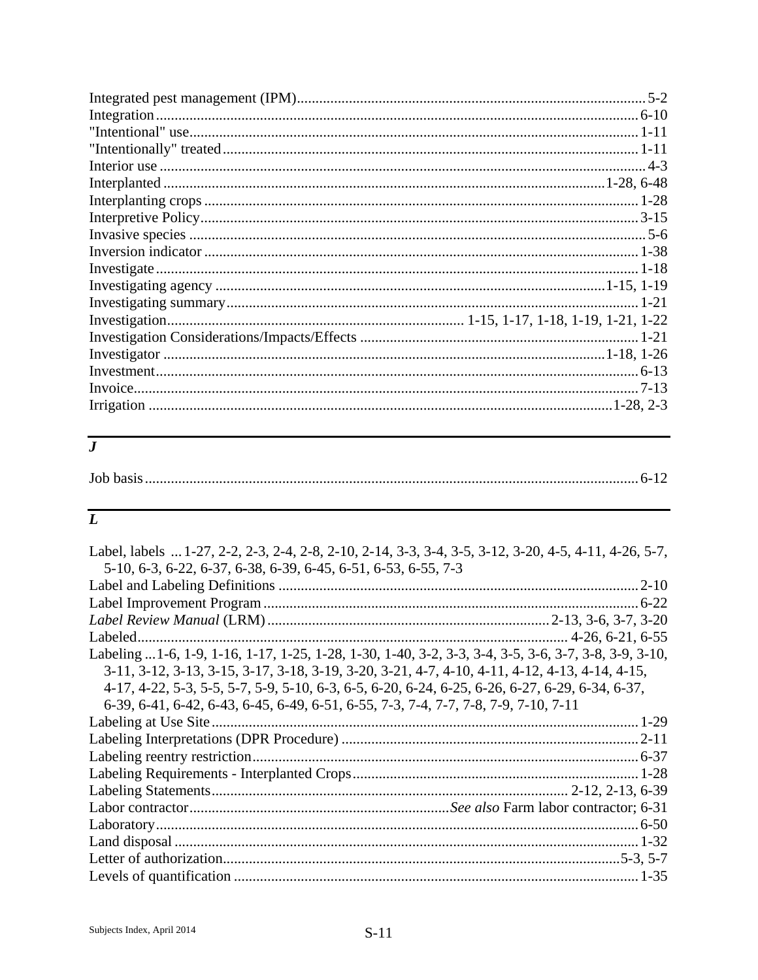| $1 - 21$ |
|----------|
|          |
|          |
|          |
|          |
|          |
|          |

#### $\overline{\overline{J}}$

|--|

# $\overline{L}$

| Label, labels  1-27, 2-2, 2-3, 2-4, 2-8, 2-10, 2-14, 3-3, 3-4, 3-5, 3-12, 3-20, 4-5, 4-11, 4-26, 5-7, |  |
|-------------------------------------------------------------------------------------------------------|--|
| 5-10, 6-3, 6-22, 6-37, 6-38, 6-39, 6-45, 6-51, 6-53, 6-55, 7-3                                        |  |
|                                                                                                       |  |
|                                                                                                       |  |
|                                                                                                       |  |
|                                                                                                       |  |
| Labeling  1-6, 1-9, 1-16, 1-17, 1-25, 1-28, 1-30, 1-40, 3-2, 3-3, 3-4, 3-5, 3-6, 3-7, 3-8, 3-9, 3-10, |  |
| 3-11, 3-12, 3-13, 3-15, 3-17, 3-18, 3-19, 3-20, 3-21, 4-7, 4-10, 4-11, 4-12, 4-13, 4-14, 4-15,        |  |
| 4-17, 4-22, 5-3, 5-5, 5-7, 5-9, 5-10, 6-3, 6-5, 6-20, 6-24, 6-25, 6-26, 6-27, 6-29, 6-34, 6-37,       |  |
| 6-39, 6-41, 6-42, 6-43, 6-45, 6-49, 6-51, 6-55, 7-3, 7-4, 7-7, 7-8, 7-9, 7-10, 7-11                   |  |
|                                                                                                       |  |
|                                                                                                       |  |
|                                                                                                       |  |
|                                                                                                       |  |
|                                                                                                       |  |
|                                                                                                       |  |
|                                                                                                       |  |
|                                                                                                       |  |
|                                                                                                       |  |
|                                                                                                       |  |
|                                                                                                       |  |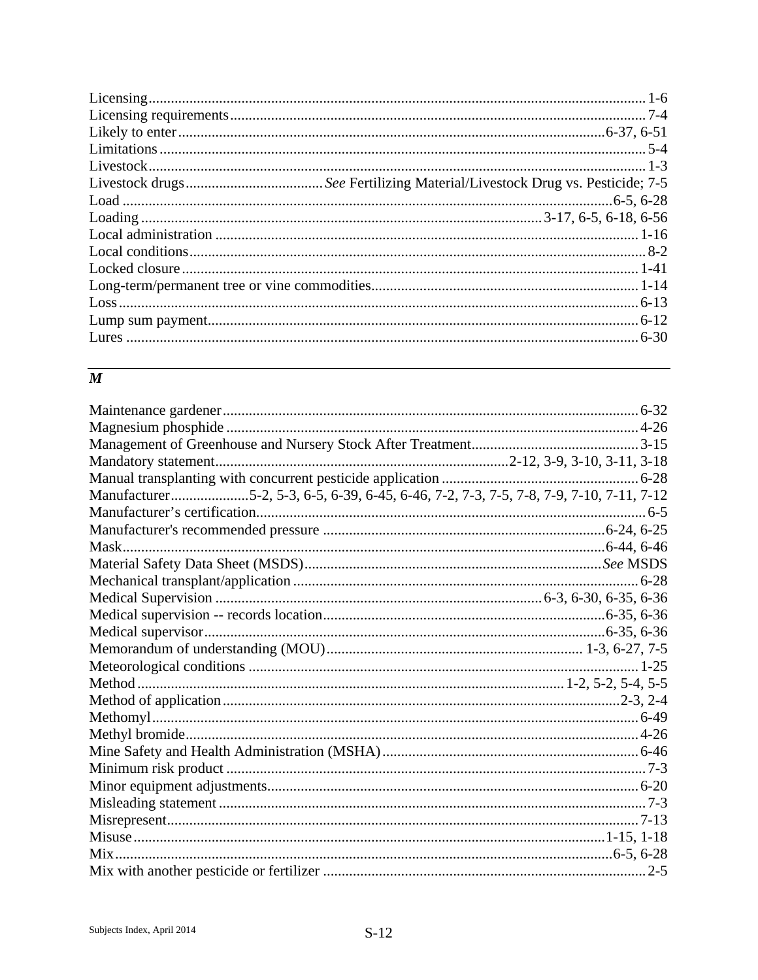## $\overline{M}$

| Manufacturer5-2, 5-3, 6-5, 6-39, 6-45, 6-46, 7-2, 7-3, 7-5, 7-8, 7-9, 7-10, 7-11, 7-12 |  |
|----------------------------------------------------------------------------------------|--|
|                                                                                        |  |
|                                                                                        |  |
|                                                                                        |  |
|                                                                                        |  |
|                                                                                        |  |
|                                                                                        |  |
|                                                                                        |  |
|                                                                                        |  |
|                                                                                        |  |
|                                                                                        |  |
|                                                                                        |  |
|                                                                                        |  |
|                                                                                        |  |
|                                                                                        |  |
|                                                                                        |  |
|                                                                                        |  |
|                                                                                        |  |
|                                                                                        |  |
|                                                                                        |  |
|                                                                                        |  |
|                                                                                        |  |
|                                                                                        |  |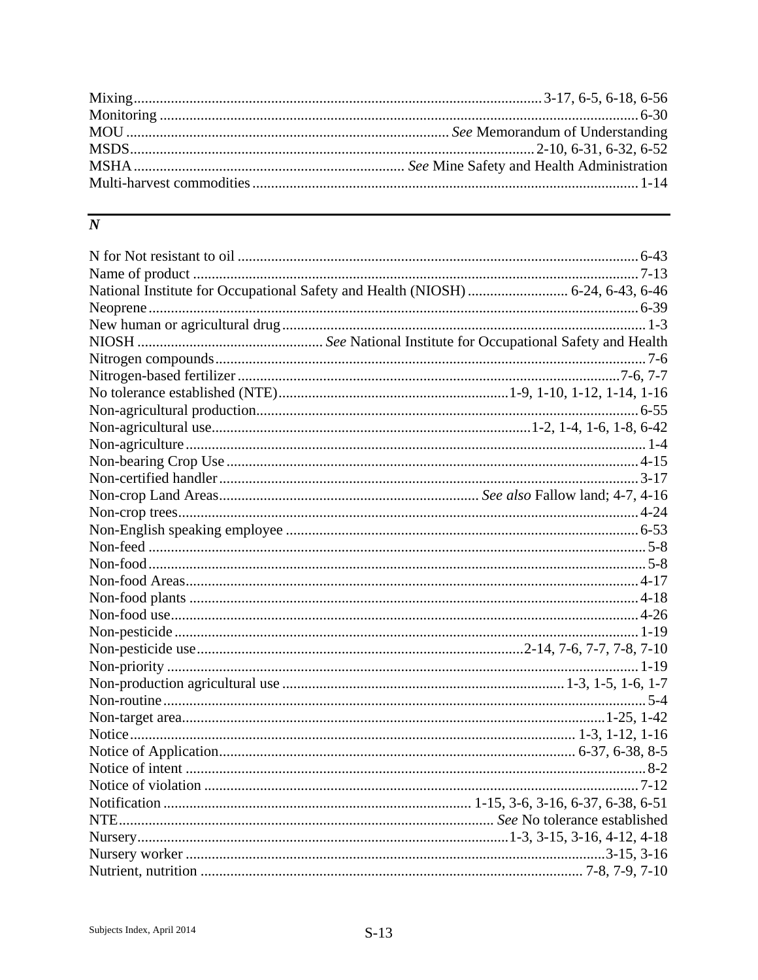# $\overline{N}$

| National Institute for Occupational Safety and Health (NIOSH)  6-24, 6-43, 6-46 |  |
|---------------------------------------------------------------------------------|--|
|                                                                                 |  |
|                                                                                 |  |
|                                                                                 |  |
|                                                                                 |  |
|                                                                                 |  |
|                                                                                 |  |
|                                                                                 |  |
|                                                                                 |  |
|                                                                                 |  |
|                                                                                 |  |
|                                                                                 |  |
|                                                                                 |  |
|                                                                                 |  |
|                                                                                 |  |
|                                                                                 |  |
|                                                                                 |  |
|                                                                                 |  |
|                                                                                 |  |
|                                                                                 |  |
|                                                                                 |  |
|                                                                                 |  |
|                                                                                 |  |
|                                                                                 |  |
|                                                                                 |  |
|                                                                                 |  |
|                                                                                 |  |
|                                                                                 |  |
|                                                                                 |  |
|                                                                                 |  |
|                                                                                 |  |
|                                                                                 |  |
|                                                                                 |  |
|                                                                                 |  |
|                                                                                 |  |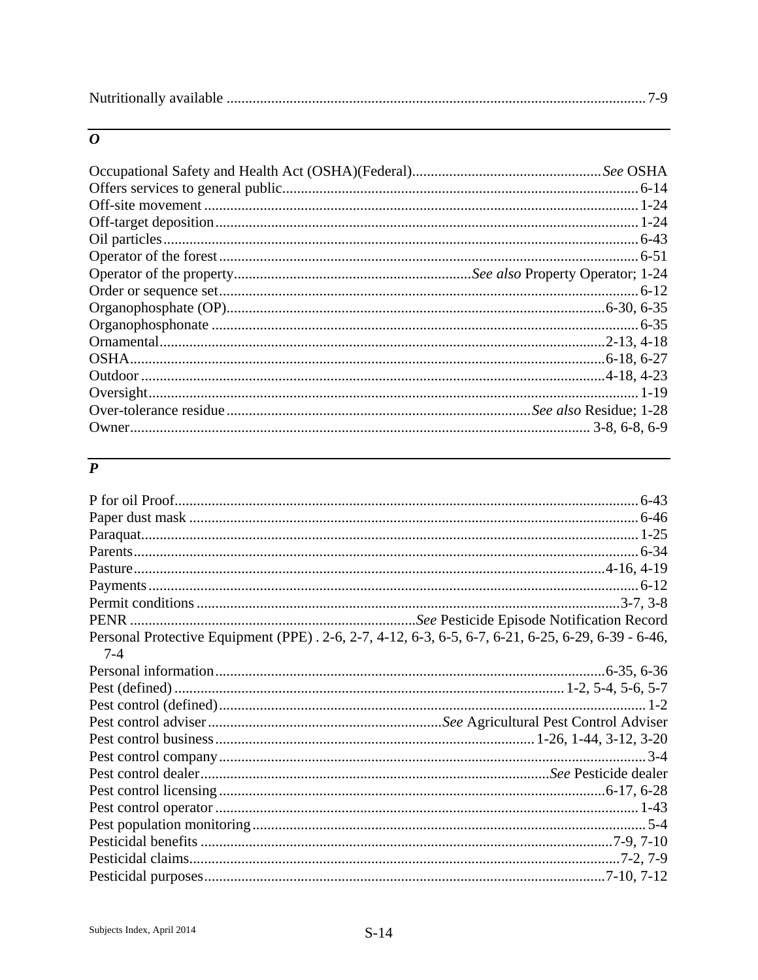|--|--|

#### $\overline{o}$

# $\overline{P}$

| Personal Protective Equipment (PPE) . 2-6, 2-7, 4-12, 6-3, 6-5, 6-7, 6-21, 6-25, 6-29, 6-39 - 6-46, |  |
|-----------------------------------------------------------------------------------------------------|--|
| $7 - 4$                                                                                             |  |
|                                                                                                     |  |
|                                                                                                     |  |
|                                                                                                     |  |
|                                                                                                     |  |
|                                                                                                     |  |
|                                                                                                     |  |
|                                                                                                     |  |
|                                                                                                     |  |
|                                                                                                     |  |
|                                                                                                     |  |
|                                                                                                     |  |
|                                                                                                     |  |
|                                                                                                     |  |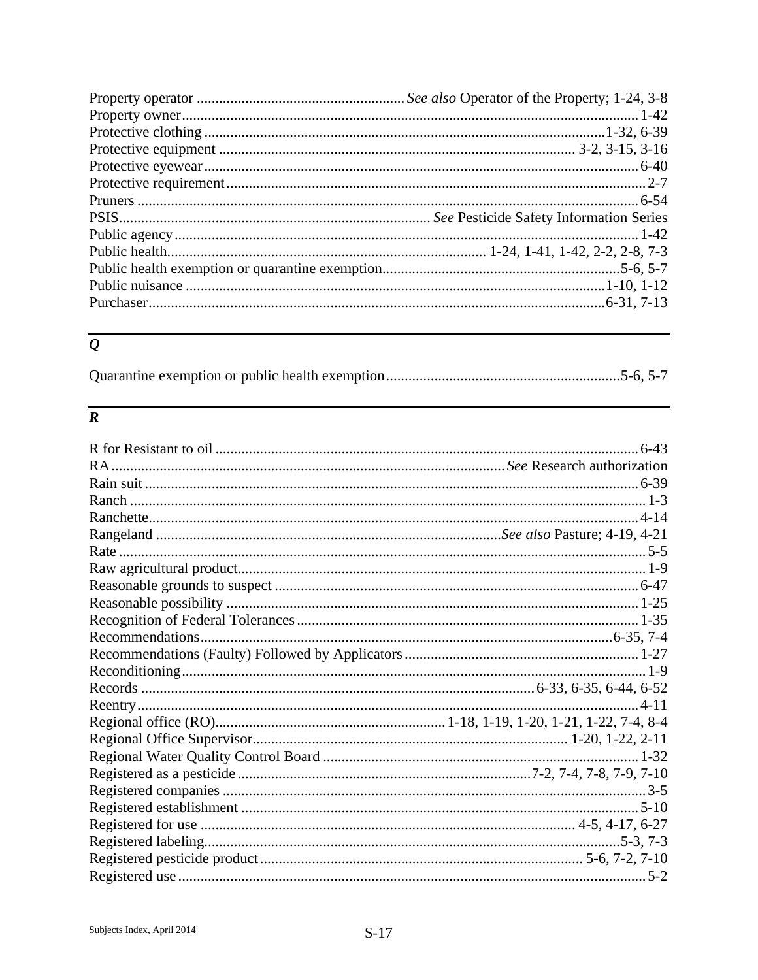# $\overline{\boldsymbol{\varrho}}$

|--|--|

# $\overline{R}$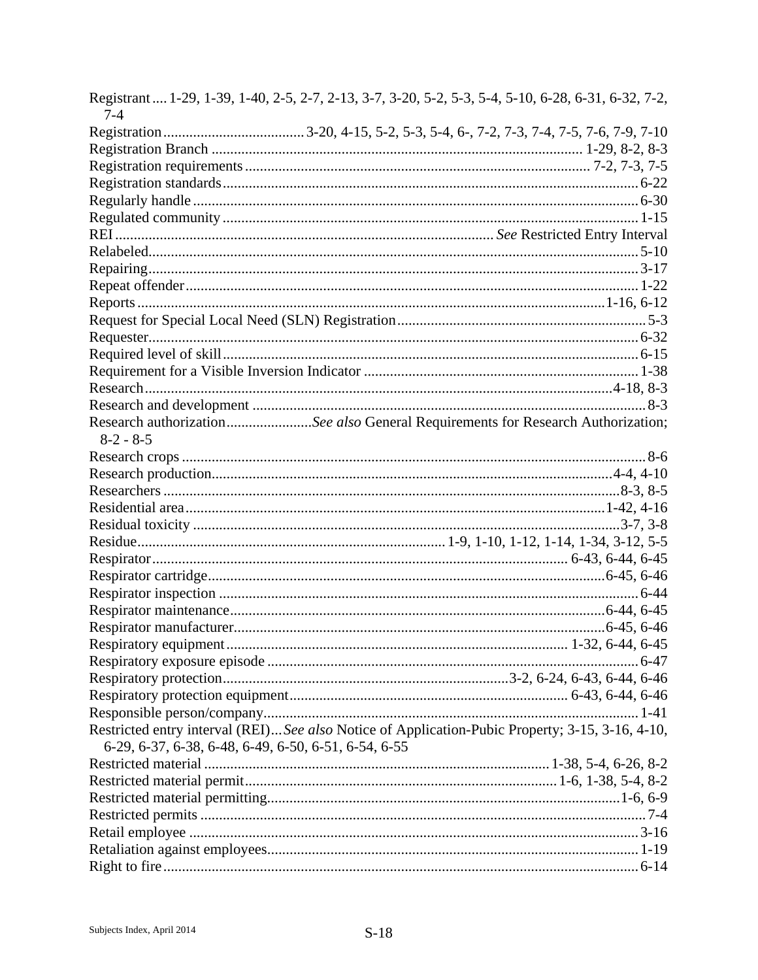| $7 - 4$                                              | Registrant  1-29, 1-39, 1-40, 2-5, 2-7, 2-13, 3-7, 3-20, 5-2, 5-3, 5-4, 5-10, 6-28, 6-31, 6-32, 7-2, |
|------------------------------------------------------|------------------------------------------------------------------------------------------------------|
|                                                      |                                                                                                      |
|                                                      |                                                                                                      |
|                                                      |                                                                                                      |
|                                                      |                                                                                                      |
|                                                      |                                                                                                      |
|                                                      |                                                                                                      |
|                                                      |                                                                                                      |
|                                                      |                                                                                                      |
|                                                      |                                                                                                      |
|                                                      |                                                                                                      |
|                                                      |                                                                                                      |
|                                                      |                                                                                                      |
|                                                      |                                                                                                      |
|                                                      |                                                                                                      |
|                                                      |                                                                                                      |
|                                                      |                                                                                                      |
|                                                      |                                                                                                      |
| $8-2 - 8-5$                                          | Research authorizationSee also General Requirements for Research Authorization;                      |
|                                                      |                                                                                                      |
|                                                      |                                                                                                      |
|                                                      |                                                                                                      |
|                                                      |                                                                                                      |
|                                                      |                                                                                                      |
|                                                      |                                                                                                      |
|                                                      |                                                                                                      |
|                                                      |                                                                                                      |
|                                                      |                                                                                                      |
|                                                      |                                                                                                      |
|                                                      |                                                                                                      |
|                                                      |                                                                                                      |
|                                                      |                                                                                                      |
|                                                      |                                                                                                      |
|                                                      |                                                                                                      |
|                                                      |                                                                                                      |
|                                                      | Restricted entry interval (REI) See also Notice of Application-Pubic Property; 3-15, 3-16, 4-10,     |
| 6-29, 6-37, 6-38, 6-48, 6-49, 6-50, 6-51, 6-54, 6-55 |                                                                                                      |
|                                                      |                                                                                                      |
|                                                      |                                                                                                      |
|                                                      |                                                                                                      |
|                                                      |                                                                                                      |
|                                                      |                                                                                                      |
|                                                      |                                                                                                      |
|                                                      |                                                                                                      |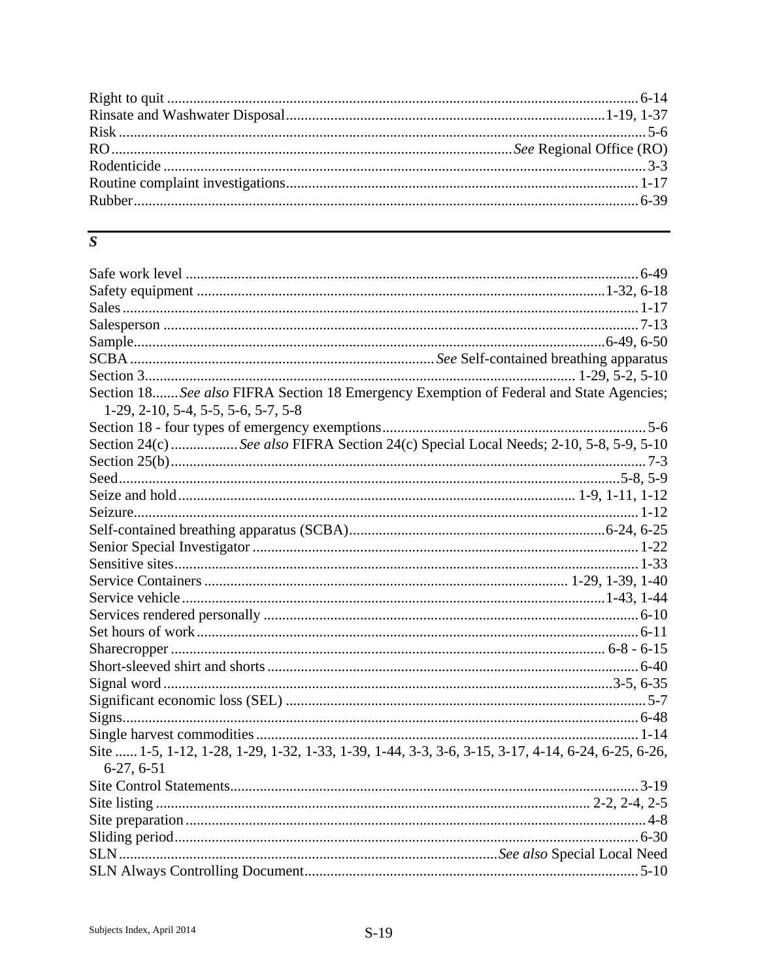## $\overline{S}$

| Section 18 See also FIFRA Section 18 Emergency Exemption of Federal and State Agencies;<br>$1-29$ , $2-10$ , $5-4$ , $5-5$ , $5-6$ , $5-7$ , $5-8$ |  |
|----------------------------------------------------------------------------------------------------------------------------------------------------|--|
|                                                                                                                                                    |  |
| Section 24(c) See also FIFRA Section 24(c) Special Local Needs; 2-10, 5-8, 5-9, 5-10                                                               |  |
|                                                                                                                                                    |  |
|                                                                                                                                                    |  |
|                                                                                                                                                    |  |
|                                                                                                                                                    |  |
|                                                                                                                                                    |  |
|                                                                                                                                                    |  |
|                                                                                                                                                    |  |
|                                                                                                                                                    |  |
|                                                                                                                                                    |  |
|                                                                                                                                                    |  |
|                                                                                                                                                    |  |
|                                                                                                                                                    |  |
|                                                                                                                                                    |  |
|                                                                                                                                                    |  |
|                                                                                                                                                    |  |
|                                                                                                                                                    |  |
|                                                                                                                                                    |  |
| Site  1-5, 1-12, 1-28, 1-29, 1-32, 1-33, 1-39, 1-44, 3-3, 3-6, 3-15, 3-17, 4-14, 6-24, 6-25, 6-26,<br>$6-27, 6-51$                                 |  |
|                                                                                                                                                    |  |
|                                                                                                                                                    |  |
|                                                                                                                                                    |  |
|                                                                                                                                                    |  |
|                                                                                                                                                    |  |
|                                                                                                                                                    |  |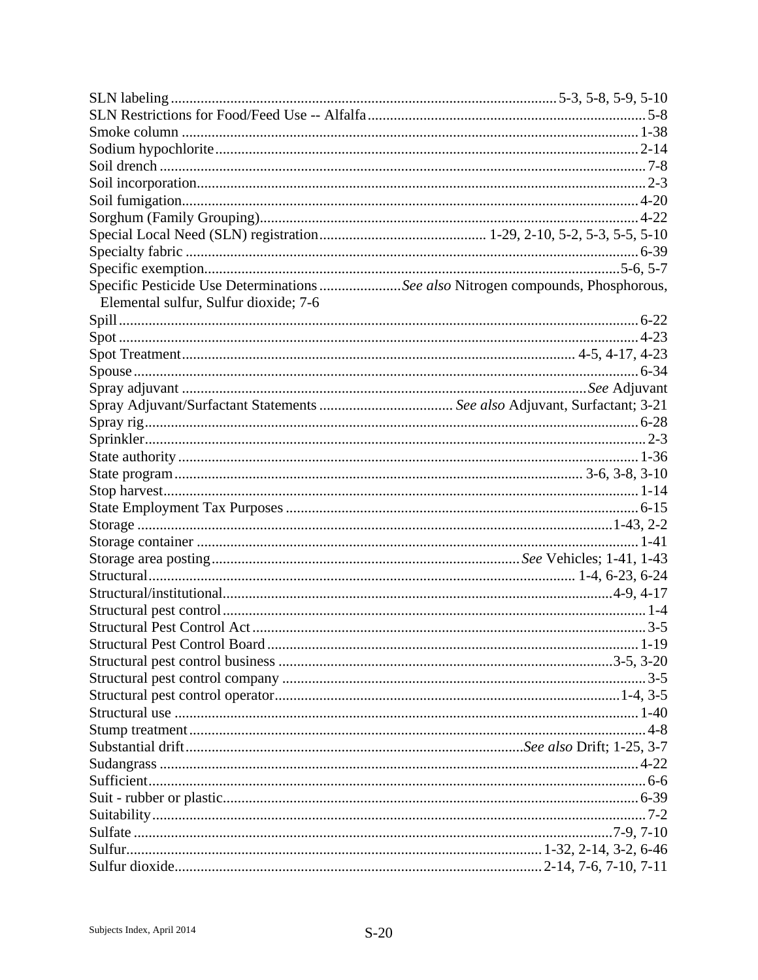| Specific Pesticide Use Determinations See also Nitrogen compounds, Phosphorous, |  |
|---------------------------------------------------------------------------------|--|
| Elemental sulfur, Sulfur dioxide; 7-6                                           |  |
|                                                                                 |  |
|                                                                                 |  |
|                                                                                 |  |
|                                                                                 |  |
|                                                                                 |  |
|                                                                                 |  |
|                                                                                 |  |
|                                                                                 |  |
|                                                                                 |  |
|                                                                                 |  |
|                                                                                 |  |
|                                                                                 |  |
|                                                                                 |  |
|                                                                                 |  |
|                                                                                 |  |
|                                                                                 |  |
|                                                                                 |  |
|                                                                                 |  |
|                                                                                 |  |
|                                                                                 |  |
|                                                                                 |  |
|                                                                                 |  |
|                                                                                 |  |
|                                                                                 |  |
|                                                                                 |  |
|                                                                                 |  |
|                                                                                 |  |
|                                                                                 |  |
|                                                                                 |  |
|                                                                                 |  |
|                                                                                 |  |
|                                                                                 |  |
|                                                                                 |  |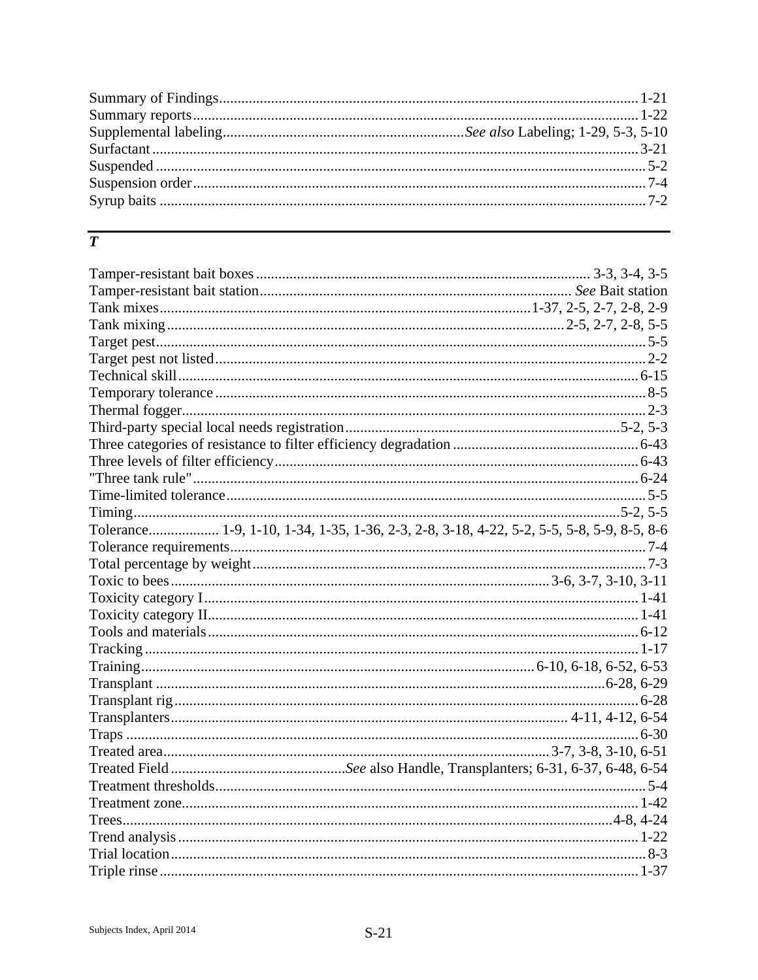## $\overline{T}$

| Tolerance 1-9, 1-10, 1-34, 1-35, 1-36, 2-3, 2-8, 3-18, 4-22, 5-2, 5-5, 5-8, 5-9, 8-5, 8-6 |  |
|-------------------------------------------------------------------------------------------|--|
|                                                                                           |  |
|                                                                                           |  |
|                                                                                           |  |
|                                                                                           |  |
|                                                                                           |  |
|                                                                                           |  |
|                                                                                           |  |
|                                                                                           |  |
|                                                                                           |  |
|                                                                                           |  |
|                                                                                           |  |
|                                                                                           |  |
|                                                                                           |  |
|                                                                                           |  |
|                                                                                           |  |
|                                                                                           |  |
|                                                                                           |  |
|                                                                                           |  |
|                                                                                           |  |
|                                                                                           |  |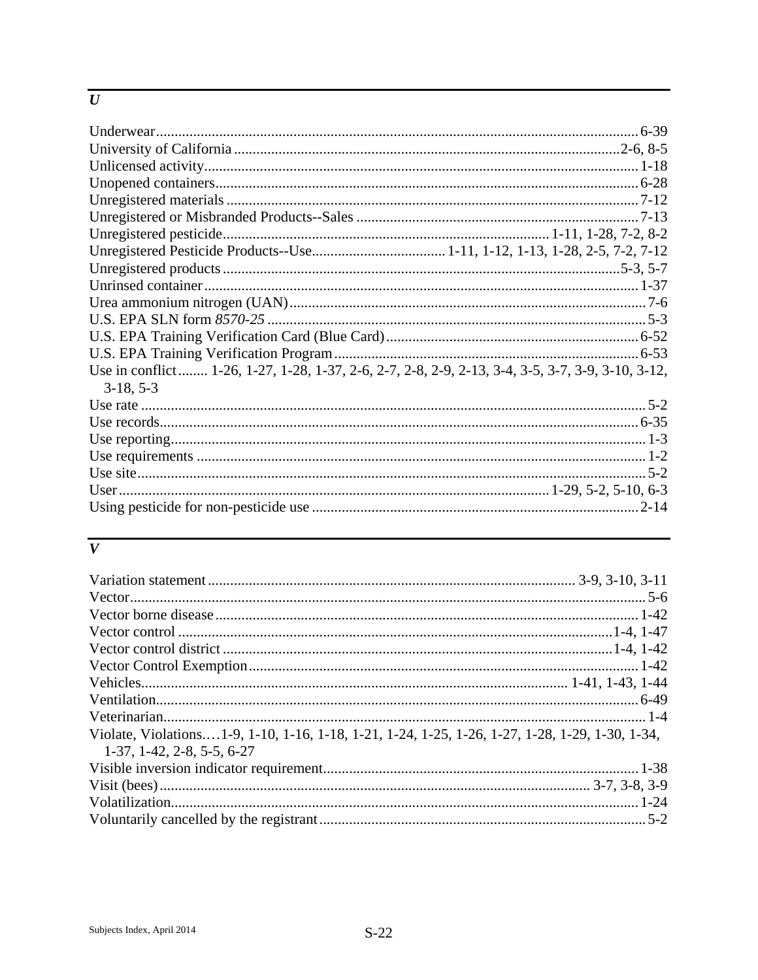#### $\overline{U}$

| Use in conflict 1-26, 1-27, 1-28, 1-37, 2-6, 2-7, 2-8, 2-9, 2-13, 3-4, 3-5, 3-7, 3-9, 3-10, 3-12, |
|---------------------------------------------------------------------------------------------------|
| $3-18, 5-3$                                                                                       |
|                                                                                                   |
|                                                                                                   |
|                                                                                                   |
|                                                                                                   |
|                                                                                                   |
|                                                                                                   |
|                                                                                                   |

#### $\overline{V}$

| Violate, Violations1-9, 1-10, 1-16, 1-18, 1-21, 1-24, 1-25, 1-26, 1-27, 1-28, 1-29, 1-30, 1-34, |  |
|-------------------------------------------------------------------------------------------------|--|
| $1-37, 1-42, 2-8, 5-5, 6-27$                                                                    |  |
|                                                                                                 |  |
|                                                                                                 |  |
|                                                                                                 |  |
|                                                                                                 |  |